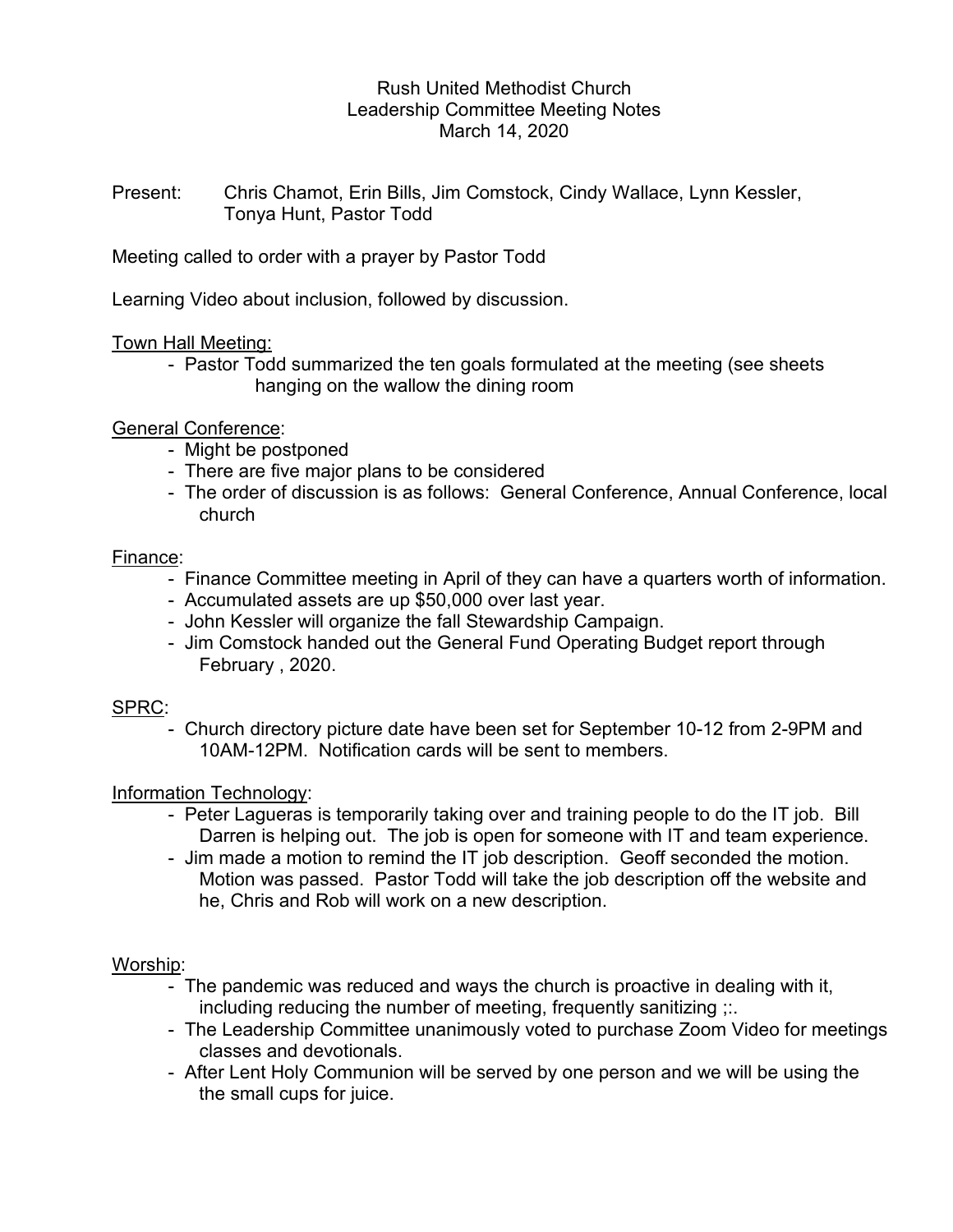## Rush United Methodist Church Leadership Committee Meeting Notes March 14, 2020

Present: Chris Chamot, Erin Bills, Jim Comstock, Cindy Wallace, Lynn Kessler, Tonya Hunt, Pastor Todd

Meeting called to order with a prayer by Pastor Todd

Learning Video about inclusion, followed by discussion.

### Town Hall Meeting:

 - Pastor Todd summarized the ten goals formulated at the meeting (see sheets hanging on the wallow the dining room

General Conference:

- Might be postponed
- There are five major plans to be considered
- The order of discussion is as follows: General Conference, Annual Conference, local church

## Finance:

- Finance Committee meeting in April of they can have a quarters worth of information.
- Accumulated assets are up \$50,000 over last year.
- John Kessler will organize the fall Stewardship Campaign.
- Jim Comstock handed out the General Fund Operating Budget report through February , 2020.

### SPRC:

 - Church directory picture date have been set for September 10-12 from 2-9PM and 10AM-12PM. Notification cards will be sent to members.

# Information Technology:

- Peter Lagueras is temporarily taking over and training people to do the IT job. Bill Darren is helping out. The job is open for someone with IT and team experience.
- Jim made a motion to remind the IT job description. Geoff seconded the motion. Motion was passed. Pastor Todd will take the job description off the website and he, Chris and Rob will work on a new description.

# Worship:

- The pandemic was reduced and ways the church is proactive in dealing with it, including reducing the number of meeting, frequently sanitizing  $\ldots$
- The Leadership Committee unanimously voted to purchase Zoom Video for meetings classes and devotionals.
- After Lent Holy Communion will be served by one person and we will be using the the small cups for juice.